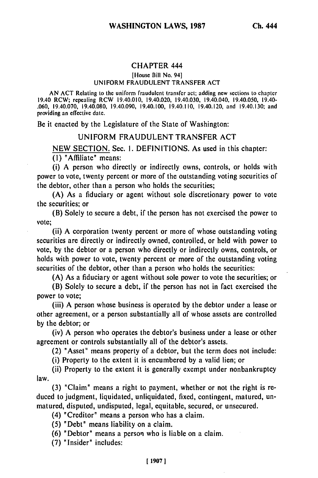## **CHAPTER** 444

## [House Bill No. **94]** UNIFORM FRAUDULENT TRANSFER **ACT**

**AN ACT** Relating to the uniform fraudulent transfer act; adding new sections to chapter 19.40 RCW; repealing RCW 19.40.010, 19.40.020, 19.40.030, 19.40.040, 19.40.050, 19.40- **.060,** 19.40.070, 19.40.080, 19.40.090, 19.40.100, 19.40.110, 19.40.120, and 19.40.130; and providing an effective date.

Be it enacted **by** the Legislature of the State of Washington:

## **UNIFORM FRAUDULENT** TRANSFER **ACT**

**NEW SECTION.** Sec. **1. DEFINITIONS.** As used in this chapter:

**(1)** "Affiliate" means:

(i) **A** person who directly or indirectly owns, controls, or holds with power to vote, twenty percent or more of the outstanding voting securities of the debtor, other than a person who holds the securities;

**(A)** As a fiduciary or agent without sole discretionary power to vote the securities; or

(B) Solely to secure a debt, if the person has not exercised the power to vote;

(ii) **A** corporation twenty percent or more of whose outstanding voting securities are directly or indirectly owned, controlled, or held with power to vote, **by** the debtor or a person who directly or indirectly owns, controls, or holds with power to vote, twenty percent or more of the outstanding voting securities of the debtor, other than a person who holds the securities:

**(A)** As a fiduciary or agent without sole power to vote the securities; or

(B) Solely to secure a debt, if the person has not in fact exercised the power to vote;

(iii) **A** person whose business is operated **by** the debtor under a lease or other agreement, or a person substantially all of whose assets are controlled **by** the debtor; or

(iv) **A** person who operates the debtor's business under a lease or other agreement or controls substantially all of the debtor's assets.

(2) "Asset" means property of a debtor, but the term does not include:

(i) Property to the extent it is encumbered **by** a valid lien; or

(ii) Property to the extent it is generally exempt under nonbankruptcy law.

**(3)** "Claim" means a right to payment, whether or not the right is reduced to judgment, liquidated, unliquidated, fixed, contingent, matured, unmatured, disputed, undisputed, legal, equitable, secured, or unsecured.

(4) "Creditor" means a person who has a claim.

**(5)** "Debt" means liability on a claim.

**(6)** "Debtor" means a person who is liable on a claim.

**(7)** "Insider" includes: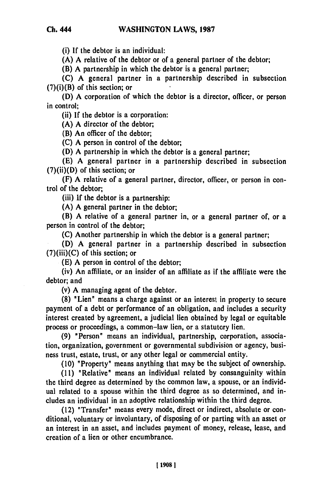**Ch. 444**

(i) **If** the debtor is an individual:

**(A)** A relative of the debtor or of a general partner of the debtor;

(B) **A** partnership in which the debtor is a general partner;

**(C)** A general partner in a partnership described in subsection (7)(i)(B) of this section; or

**(D)** A corporation of which the debtor is a director, officer, or person in control;

(ii) **If** the debtor is a corporation:

**(A)** A director of the debtor;

(B) An officer of the debtor;

**(C)** A person in control of the debtor;

**(D) A** partnership in which the debtor is a general partner;

**(E) A** general partner in a partnership described in subsection (7)(ii)(D) of this section; or

(F) A relative of a general partner, director, officer, or person in control of the debtor;

(iii) **If** the debtor is a partnership:

**(A) A** general partner in the debtor;

(B) **A** relative of a general partner in, or a general partner of, or a person in control of the debtor;

**(C)** Another partnership in which the debtor is a general partner;

**(D) A** general partner in a partnership described in subsection (7)(iii)(C) of this section; or

**(E) A** person in control of the debtor;

(iv) An affiliate, or an insider of an affiliate as if the affiliate were the debtor; and

(v) **A** managing agent of the debtor.

**(8)** "Lien" means a charge against or an interest in property to secure payment of a debt or performance of an obligation, and includes a security interest created **by** agreement, a judicial lien obtained **by** legal or equitable process or proceedings, a common-law lien, or a statutory lien.

**(9)** "Person" means an individual, partnership, corporation, association, organization, government or governmental subdivision or agency, business trust, estate, trust, or any other legal or commercial entity.

**(10)** "Property" means anything that may be the subject of ownership.

**(11)** "Relative" means an individual related **by** consanguinity within the third degree as determined **by** the common law, a spouse, or an individual related to a spouse within the third degree as so determined, and includes an individual in an adoptive relationship within the third degree.

(12) "Transfer" means every mode, direct or indirect, absolute or conditional, voluntary or involuntary, of disposing of or parting with an asset or an interest in an asset, and includes payment of money, release, lease, and creation of a lien or other encumbrance.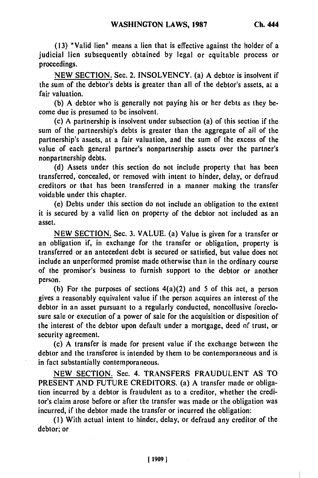**(13)** "Valid lien" means a lien that is effective against the holder of a judicial lien subsequently obtained **by** legal or equitable process or proceedings.

**NEW SECTION.** Sec. 2. **INSOLVENCY.** (a) **A** debtor is insolvent if the sum of the debtor's debts is greater than all of the debtor's assets, at a fair valuation.

**(b)** A debtor who is generally not paying his or her debts as they become due is presumed to be insolvent.

(c) A partnership is insolvent under subsection (a) of this section if the sum of the partnership's debts is greater than the aggregate of all of the partnership's assets, at a fair valuation, and the sum of the excess of the value of each general partner's nonpartnership assets over the partner's nonpartnership debts.

**(d)** Assets under this section do not include property that has been transferred, concealed, or removed with intent to hinder, delay, or defraud creditors or that has been transferred in a manner making the transfer voidable under this chapter.

(e) Debts under this section do not include an obligation to the extent it is secured **by** a valid lien on property of the debtor not included as an asset.

**NEW SECTION.** Sec. **3. VALUE.** (a) Value is given for a transfer or an obligation if, in exchange for the transfer or obligation, property is transferred or an antecedent debt is secured or satisfied, but value does not include an unperformed promise made otherwise than in the ordinary course of the promisor's business to furnish support to the debtor or another person.

**(b)** For the purposes of sections 4(a)(2) and 5 of this act, a person gives a reasonably equivalent value if the person acquires an interest of the debtor in an asset pursuant to a regularly conducted, noncollusive foreclosure sale or execution of a power of sale for the acquisition or disposition of the interest of the debtor upon default under a mortgage, deed of trust, or security agreement.

(c) A transfer is made for present value if the exchange between the debtor and the transferee is intended **by** them to be contemporaneous and is in fact substantially contemporaneous.

**NEW SECTION.** Sec. 4. TRANSFERS **FRAUDULENT AS** TO **PRESENT AND FUTURE** CREDITORS. (a) A transfer made or obligation incurred **by** a debtor is fraudulent as to a creditor, whether the creditor's claim arose before or after the transfer was made or the obligation was incurred, if the debtor made the transfer or incurred the obligation:

**(1)** With actual intent to hinder, delay, or defraud any creditor of the debtor; or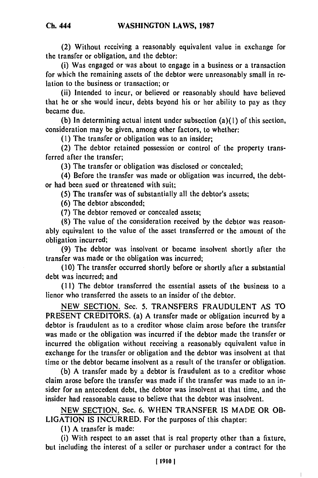(2) Without receiving a reasonably equivalent value in exchange for the transfer or obligation, and the debtor:

(i) Was engaged or was about to engage in a business or a transaction for which the remaining assets of the debtor were unreasonably small in relation to the business or transaction; or

(ii) Intended to incur, or believed or reasonably should have believed that he or she would incur, debts beyond his or her ability to pay as they became due.

(b) In determining actual intent under subsection (a)(l) of this section, consideration may be given, among other factors, to whether:

**(1)** The transfer or obligation was to an insider;

(2) The debtor retained possession or control of the property transferred after the transfer;

(3) The transfer or obligation was disclosed or concealed;

(4) Before the transfer was made or obligation was incurred, the debtor had been sued or threatened with suit;

(5) The transfer was of substantially all the debtor's assets;

(6) The debtor absconded;

(7) The debtor removed or concealed assets;

(8) The value of the consideration received by the debtor was reasonably equivalent to the value of the asset transferred or the amount of the obligation incurred;

(9) The debtor was insolvent or became insolvent shortly after the transfer was made or the obligation was incurred;

(10) The transfer occurred shortly before or shortly after a substantial debt was incurred; and

(11) The debtor transferred the essential assets of the business to a lienor who transferred the assets to an insider of the debtor.

NEW SECTION. Sec. 5. TRANSFERS FRAUDULENT AS TO PRESENT CREDITORS. (a) A transfer made or obligation incurred by a debtor is fraudulent as to a creditor whose claim arose before the transfer was made or the obligation was incurred if the debtor made the transfer or incurred the obligation without receiving a reasonably equivalent value in exchange for the transfer or obligation and the debtor was insolvent at that time or the debtor became insolvent as a result of the transfer or obligation.

(b) A transfer made by a debtor is fraudulent as to a creditor whose claim arose before the transfer was made if the transfer was made to an insider for an antecedent debt, the debtor was insolvent at that time, and the insider had reasonable cause to believe that the debtor was insolvent.

NEW SECTION. Sec. 6. WHEN TRANSFER IS MADE OR OB-LIGATION IS INCURRED. For the purposes of this chapter:

(1) A transfer is made:

(i) With respect to an asset that is real property other than a fixture, but including the interest of a seller or purchaser under a contract for the

I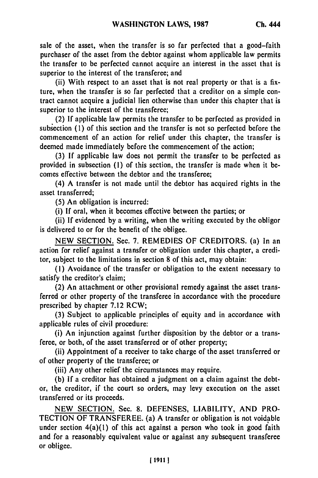sale of the asset, when the transfer is so far perfected that a good-faith purchaser of the asset from the debtor against whom applicable law permits the transfer to be perfected cannot acquire an interest in the asset that is superior to the interest of the transferee; and

(ii) With respect to an asset that is not real property or that is a fixture, when the transfer is so far perfected that a creditor on a simple contract cannot acquire a judicial lien otherwise than under this chapter that is superior to the interest of the transferee;

(2) **If** applicable law permits the transfer to be perfected as provided in subsection **(1)** of this section and the transfer is not so perfected before the commencement of an action for relief under this chapter, the transfer is deemed made immediately before the commencement of the action;

**(3)** If applicable law does not permit the transfer to be perfected as provided in subsection **(1)** of this section, the transfer is made when it becomes effective between the debtor and the transferee;

(4) **A** transfer is not made until the debtor has acquired rights in the asset transferred;

**(5)** An obligation is incurred:

(i) **If** oral, when it becomes effective between the parties; or

(ii) **If** evidenced **by** a writing, when the writing executed **by** the obligor is delivered to or for the benefit of the obligee.

**NEW SECTION.** Sec. **7.** REMEDIES OF CREDITORS. (a) In an action for relief against a transfer or obligation under this chapter, a creditor, subject to the limitations in section **8** of this act, may obtain:

**(1)** Avoidance of the transfer or obligation to the extent necessary to satisfy the creditor's claim;

(2) An attachment or other provisional remedy against the asset transferred or other property of the transferee in accordance with the procedure prescribed **by** chapter **7.12** RCW;

**(3)** Subject to applicable principles of equity and in accordance with applicable rules of civil procedure:

(i) An injunction against further disposition **by** the debtor or a transferee, or both, of the asset transferred or of other property;

(ii) Appointment of a receiver to take charge of the asset transferred or of other property of the transferee; or

(iii) Any other relief the circumstances may require.

**(b)** If a creditor has obtained a judgment on a claim against the debtor, the creditor, if the court so orders, may levy execution on the asset transferred or its proceeds.

**NEW SECTION.** Sec. **8. DEFENSES,** LIABILITY, **AND** PRO-**TECTION** OF TRANSFEREE. (a) **A** transfer or obligation is not voidable under section  $4(a)(1)$  of this act against a person who took in good faith and for a reasonably equivalent value or against any subsequent transferee or obligee.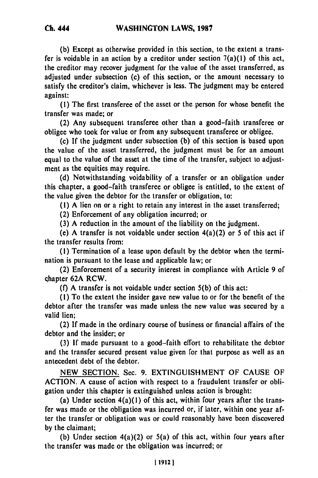**(b)** Except as otherwise provided in this section, to the extent a transfer is voidable in an action **by** a creditor under section 7(a)(l) of this act, the creditor may recover judgment for the value of the asset transferred, as adjusted under subsection (c) of this section, or the amount necessary to satisfy the creditor's claim, whichever is less. The judgment may be entered against:

**(1)** The first transferee of the asset or the person for whose benefit the transfer was made; or

(2) Any subsequent transferee other than a good-faith transferee or obligee who took for value or from any subsequent transferee or obligee.

(c) **If** the judgment under subsection **(b)** of this section is based upon the value of the asset transferred, the judgment must be for an amount equal to the value of the asset at the time of the transfer, subject to adjustment as the equities may require.

**(d)** Notwithstanding voidability of a transfer or an obligation under this chapter, a good-faith transferee or obligee is entitled, to the extent of the value given the debtor for the transfer or obligation, to:

**(1) A** lien on or a right to retain any interest in the asset transferred;

(2) Enforcement of any obligation incurred; or

**(3) A** reduction in the amount of the liability on the judgment.

(e) **A** transfer is not voidable under section 4(a)(2) or **5** of this act if the transfer results from:

**(1)** Termination of a lease upon default **by** the debtor when the termination is pursuant to the lease and applicable law; or

(2) Enforcement of a security interest in compliance with Article **9** of qhapter **62A** RCW.

**(f) A** transfer is not voidable under section **5(b)** of this act:

**(1)** To the extent the insider gave new value to or for the benefit of the debtor after the transfer was made unless the new value was secured **by** a valid lien;

(2) **If** made in the ordinary course of business or financial affairs of the debtor and the insider; or

**(3) If** made pursuant to a good-faith effort to rehabilitate the debtor and the transfer secured present value given for that purpose as well as an antecedent debt of the debtor.

**NEW SECTION.** Sec. **9. EXTINGUISHMENT** OF **CAUSE** OF ACTION. **A** cause of action with respect to a fraudulent transfer or obligation under this chapter is extinguished unless action is brought:

(a) Under section 4(a)(1) of this act, within four years after the transfer was made or the obligation was incurred or, if later, within one year after the transfer or obligation was or could reasonably have been discovered **by** the claimant;

**(b)** Under section 4(a)(2) or 5(a) of this act, within four years after the transfer was made or the obligation was incurred; or